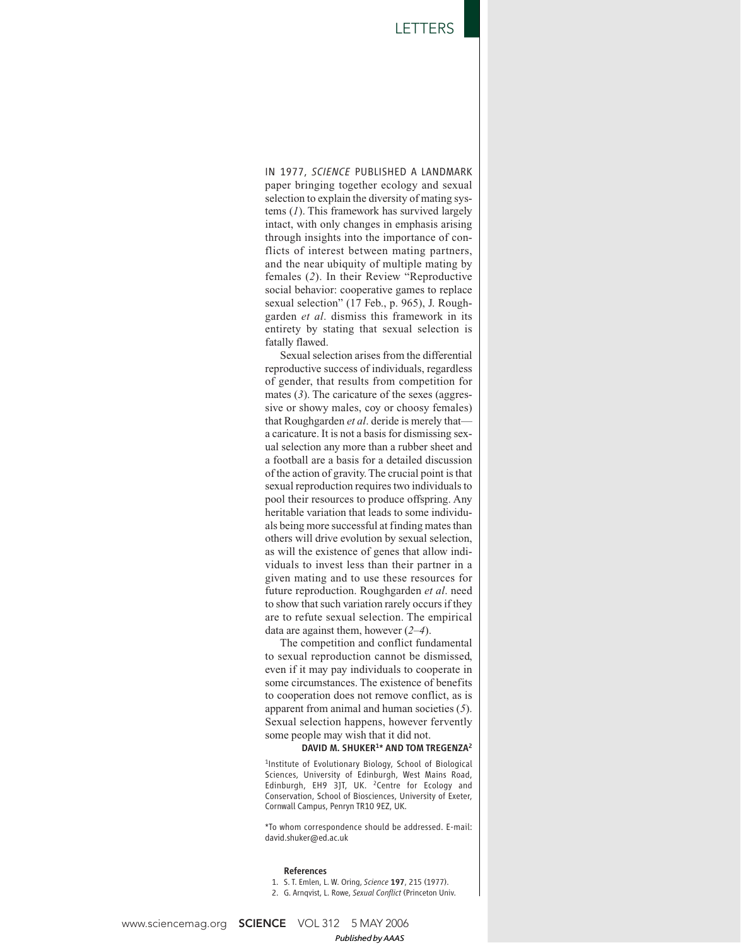IN 1977, *SCIENCE* PUBLISHED A LANDMARK paper bringing together ecology and sexual selection to explain the diversity of mating systems (*1*). This framework has survived largely intact, with only changes in emphasis arising through insights into the importance of conflicts of interest between mating partners, and the near ubiquity of multiple mating by females (*2*). In their Review "Reproductive social behavior: cooperative games to replace sexual selection" (17 Feb., p. 965), J. Roughgarden *et al*. dismiss this framework in its entirety by stating that sexual selection is fatally flawed.

Sexual selection arises from the differential reproductive success of individuals, regardless of gender, that results from competition for mates (*3*). The caricature of the sexes (aggressive or showy males, coy or choosy females) that Roughgarden *et al*. deride is merely that a caricature. It is not a basis for dismissing sexual selection any more than a rubber sheet and a football are a basis for a detailed discussion of the action of gravity. The crucial point is that sexual reproduction requires two individuals to pool their resources to produce offspring. Any heritable variation that leads to some individuals being more successful at finding mates than others will drive evolution by sexual selection, as will the existence of genes that allow individuals to invest less than their partner in a given mating and to use these resources for future reproduction. Roughgarden *et al*. need to show that such variation rarely occurs if they are to refute sexual selection. The empirical data are against them, however (*2*–*4*).

The competition and conflict fundamental to sexual reproduction cannot be dismissed, even if it may pay individuals to cooperate in some circumstances. The existence of benefits to cooperation does not remove conflict, as is apparent from animal and human societies (*5*). Sexual selection happens, however fervently some people may wish that it did not.

## DAVID M. SHUKER<sup>1\*</sup> AND TOM TREGENZA<sup>2</sup>

1 Institute of Evolutionary Biology, School of Biological Sciences, University of Edinburgh, West Mains Road, Edinburgh, EH9 3JT, UK. <sup>2</sup>Centre for Ecology and Conservation, School of Biosciences, University of Exeter, Cornwall Campus, Penryn TR10 9EZ, UK.

\*To whom correspondence should be addressed. E-mail: david.shuker@ed.ac.uk

## References

- 1. S. T. Emlen, L. W. Oring, *Science* 197, 215 (1977).
- 2. G. Arnqvist, L. Rowe, *Sexual Conflict* (Princeton Univ.

www.sciencemag.org **SCIENCE** VOL 312 5 MAY 2006 *Published byAAAS*